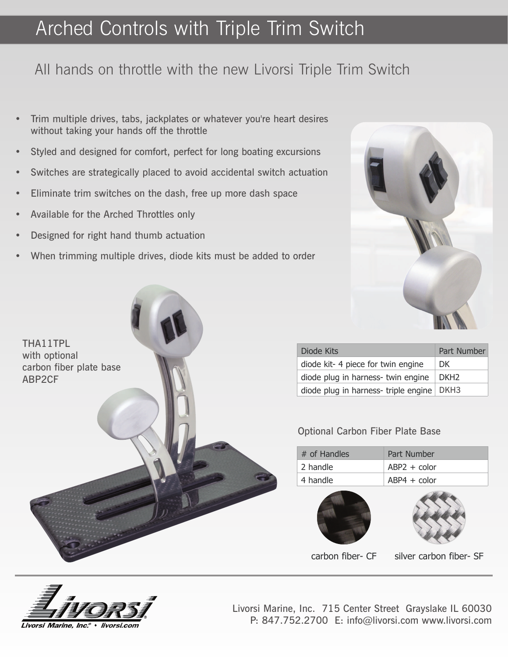# Arched Controls with Triple Trim Switch

### All hands on throttle with the new Livorsi Triple Trim Switch

- • Trim multiple drives, tabs, jackplates or whatever you're heart desires without taking your hands off the throttle
- •Styled and designed for comfort, perfect for long boating excursions
- •Switches are strategically placed to avoid accidental switch actuation
- $\bullet$ Eliminate trim switches on the dash, free up more dash space
- •Available for the Arched Throttles only

THA11TPLwith optional

ABP2CF

carbon fiber plate base

- •Designed for right hand thumb actuation
- •When trimming multiple drives, diode kits must be added to order



| Diode Kits                                 | Part Number      |
|--------------------------------------------|------------------|
| diode kit-4 piece for twin engine          | DK.              |
| diode plug in harness- twin engine         | DKH <sub>2</sub> |
| diode plug in harness-triple engine   DKH3 |                  |

### Optional Carbon Fiber Plate Base

| # of Handles | Part Number    |
|--------------|----------------|
| 2 handle     | $ABP2 + color$ |
| 4 handle     | $ABP4 + color$ |





carbon fiber- CFsilver carbon fiber- SF



Livorsi Marine, Inc. 715 Center Street Grayslake IL 60030P: 847.752.2700 E: info@livorsi.com www.livorsi.com